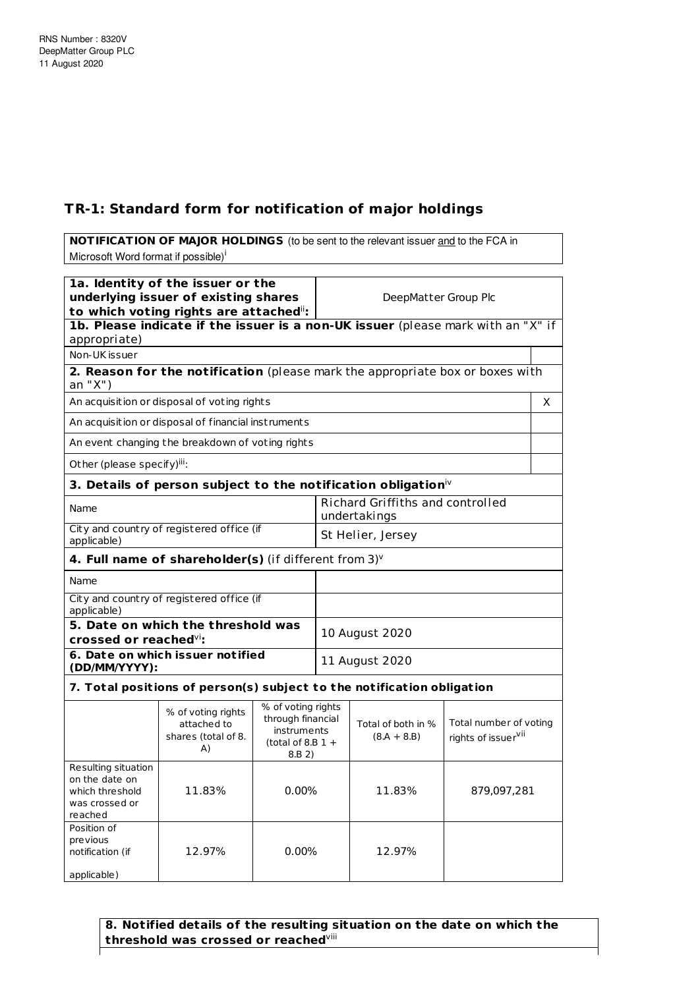## **TR-1: Standard form for notification of major holdings**

**NOTIFICATION OF MAJOR HOLDINGS** (to be sent to the relevant issuer and to the FCA in Microsoft Word format if possible)<sup>i</sup> **1a. Identity of the issuer or the underlying issuer of existing shares to which voting rights are attached** ii**:** DeepMatter Group Plc **1b. Please indicate if the issuer is a non-UK issuer** (please mark with an "X" if appropriate) Non-UK issuer **2. Reason for the notification** (please mark the appropriate box or boxes with an "X") An acquisition or disposal of voting rights X and X and X and X and X and X and X and X and X and X and X and X  $\lambda$ An acquisition or disposal of financial inst ruments An event changing the breakdown of voting rights Other (please specify)<sup>iii</sup>: **3. Details of person subject to the notification obligation** iv Name Richard Griffiths and controlled undertakings City and country of registered office (if applicable) St Helier, Jersey **4. Full name of shareholder(s)** (if different from 3) v Name City and count ry of registered office (if applicable) **5. Date on which the threshold was crossed or reached** vi**:** 10 August 2020 **6. Date on which issuer not ified (DD/MM/YYYY):** 11 August 2020

## **7. Total posit ions of person(s) subject to the not ificat ion obligat ion**

|                                                                                       | % of voting rights<br>attached to<br>shares (total of 8.<br>A) | % of voting rights<br>through financial<br>instruments<br>(total of 8.B $1 +$<br>8.B 2) | Total of both in %<br>$(8.A + 8.B)$ | Total number of voting<br>rights of issuer <sup>vii</sup> |
|---------------------------------------------------------------------------------------|----------------------------------------------------------------|-----------------------------------------------------------------------------------------|-------------------------------------|-----------------------------------------------------------|
| Resulting situation<br>on the date on<br>which threshold<br>was crossed or<br>reached | 11.83%                                                         | $0.00\%$                                                                                | 11.83%                              | 879,097,281                                               |
| Position of<br>previous<br>notification (if<br>applicable)                            | 12.97%                                                         | $0.00\%$                                                                                | 12.97%                              |                                                           |

**8. Notified details of the resulting situation on the date on which the threshold was crossed or reached** viii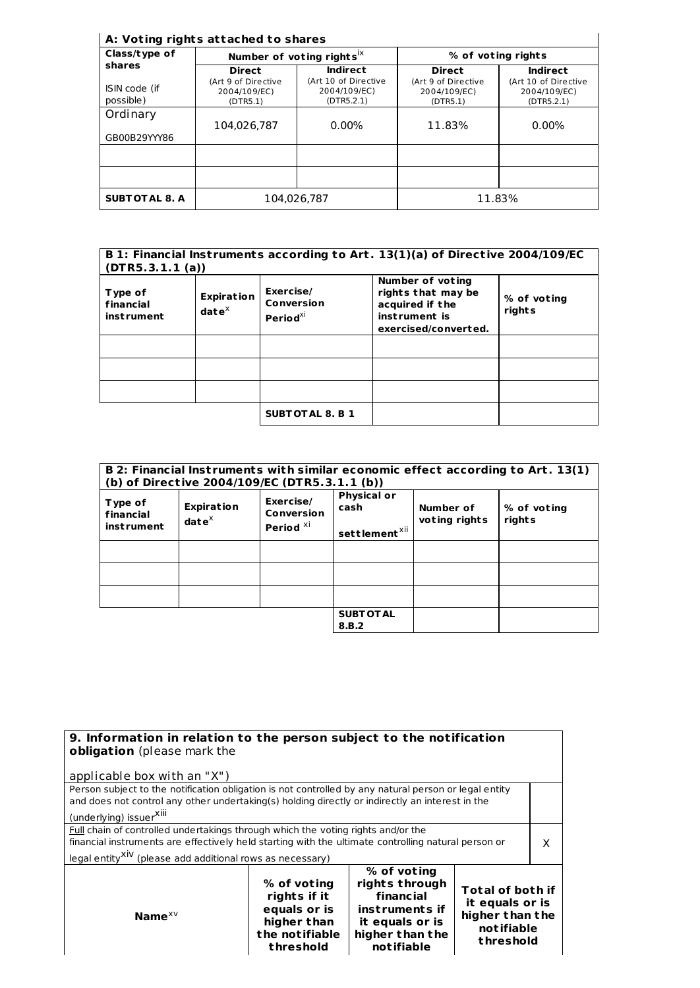## **A: Vot ing rights at tached to shares**

| Class/type of              |                                                 | Number of voting rights <sup>ix</sup>              | % of voting rights                              |                                                    |
|----------------------------|-------------------------------------------------|----------------------------------------------------|-------------------------------------------------|----------------------------------------------------|
| shares                     | <b>Direct</b>                                   | Indirect                                           | <b>Direct</b>                                   | Indirect                                           |
| ISIN code (if<br>possible) | (Art 9 of Directive<br>2004/109/EC)<br>(DTR5.1) | (Art 10 of Directive<br>2004/109/EC)<br>(DTR5.2.1) | (Art 9 of Directive<br>2004/109/EC)<br>(DTR5.1) | (Art 10 of Directive<br>2004/109/EC)<br>(DTR5.2.1) |
| Ordinary                   | 104,026,787                                     | $0.00\%$                                           | 11.83%                                          | 0.00%                                              |
| GB00B29YYY86               |                                                 |                                                    |                                                 |                                                    |
|                            |                                                 |                                                    |                                                 |                                                    |
| <b>SUBTOTAL 8. A</b>       | 104.026.787                                     |                                                    |                                                 | 11.83%                                             |

| B 1: Financial Instruments according to Art. 13(1)(a) of Directive 2004/109/EC<br>(DTR5.3.1.1(a)) |                                             |                                               |                                                                                                           |                       |
|---------------------------------------------------------------------------------------------------|---------------------------------------------|-----------------------------------------------|-----------------------------------------------------------------------------------------------------------|-----------------------|
| Type of<br>financial<br><i>instrument</i>                                                         | <b>Expiration</b><br>$\mathbf{date}^\times$ | Exercise/<br>Conversion<br>Period $^{\chi i}$ | <b>Number of voting</b><br>rights that may be<br>acquired if the<br>instrument is<br>exercised/converted. | % of voting<br>rights |
|                                                                                                   |                                             |                                               |                                                                                                           |                       |
|                                                                                                   |                                             |                                               |                                                                                                           |                       |
|                                                                                                   |                                             |                                               |                                                                                                           |                       |
|                                                                                                   |                                             | <b>SUBTOTAL 8. B 1</b>                        |                                                                                                           |                       |

| B 2: Financial Instruments with similar economic effect according to Art. 13(1)<br>(b) of Directive 2004/109/EC (DTR5.3.1.1 (b)) |                                    |                                                 |                                                         |                            |                       |
|----------------------------------------------------------------------------------------------------------------------------------|------------------------------------|-------------------------------------------------|---------------------------------------------------------|----------------------------|-----------------------|
| Type of<br>financial<br><i>instrument</i>                                                                                        | <b>Expiration</b><br>$date^{\chi}$ | Exercise/<br>Conversion<br>Period <sup>xi</sup> | <b>Physical or</b><br>cash<br>settlement <sup>xii</sup> | Number of<br>voting rights | % of voting<br>rights |
|                                                                                                                                  |                                    |                                                 |                                                         |                            |                       |
|                                                                                                                                  |                                    |                                                 |                                                         |                            |                       |
|                                                                                                                                  |                                    |                                                 |                                                         |                            |                       |
|                                                                                                                                  |                                    |                                                 | <b>SUBT OT AL</b><br>8.B.2                              |                            |                       |

| 9. Information in relation to the person subject to the notification<br>obligation (please mark the                                                                                                                                                                     |                                                                                           |                                                                                                                          |                                                                                          |  |
|-------------------------------------------------------------------------------------------------------------------------------------------------------------------------------------------------------------------------------------------------------------------------|-------------------------------------------------------------------------------------------|--------------------------------------------------------------------------------------------------------------------------|------------------------------------------------------------------------------------------|--|
| applicable box with an "X")                                                                                                                                                                                                                                             |                                                                                           |                                                                                                                          |                                                                                          |  |
| Person subject to the notification obligation is not controlled by any natural person or legal entity<br>and does not control any other undertaking(s) holding directly or indirectly an interest in the<br>(underlying) issuer <sup>XIII</sup>                         |                                                                                           |                                                                                                                          |                                                                                          |  |
| <b>Full chain of controlled undertakings through which the voting rights and/or the</b><br>financial instruments are effectively held starting with the ultimate controlling natural person or<br>legal entity <sup>XIV</sup> (please add additional rows as necessary) |                                                                                           |                                                                                                                          | x                                                                                        |  |
| Name $x \vee$                                                                                                                                                                                                                                                           | % of voting<br>rights if it<br>equals or is<br>higher than<br>the notifiable<br>threshold | % of voting<br>rights through<br>financial<br>instruments if<br>it equals or is<br>higher than the<br><b>not ifiable</b> | <b>Total of both if</b><br>it equals or is<br>higher than the<br>notifiable<br>threshold |  |